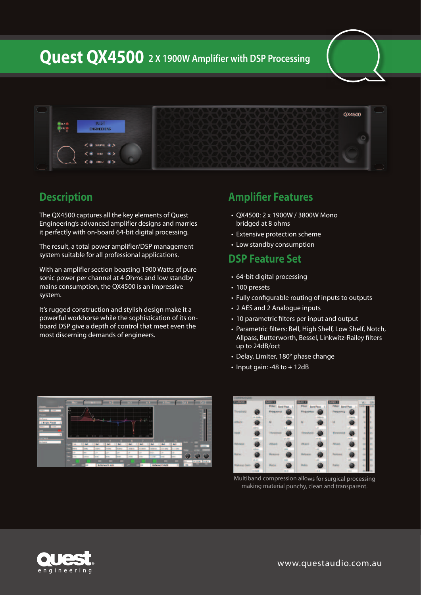**Quest QX4500 2 X 1900W Amplifier with DSP Processing**



## **Description**

The QX4500 captures all the key elements of Quest Engineering's advanced amplifier designs and marries it perfectly with on-board 64-bit digital processing.

The result, a total power amplifier/DSP management system suitable for all professional applications.

With an amplifier section boasting 1900 Watts of pure sonic power per channel at 4 Ohms and low standby mains consumption, the QX4500 is an impressive system.

It's rugged construction and stylish design make it a powerful workhorse while the sophistication of its onboard DSP give a depth of control that meet even the most discerning demands of engineers.

## **Amplifier Features**

- • QX4500: 2 x 1900W / 3800W Mono bridged at 8 ohms
- Extensive protection scheme
- Low standby consumption

#### **DSP Feature Set**

- 64-bit digital processing
- 100 presets
- Fully configurable routing of inputs to outputs
- 2 AES and 2 Analogue inputs
- 10 parametric filters per input and output
- Parametric filters: Bell, High Shelf, Low Shelf, Notch, Allpass, Butterworth, Bessel, Linkwitz-Railey filters up to 24dB/oct
- Delay, Limiter, 180° phase change
- $\cdot$  Input gain: -48 to  $+$  12dB





Multiband compression allows for surgical processing making material punchy, clean and transparent.